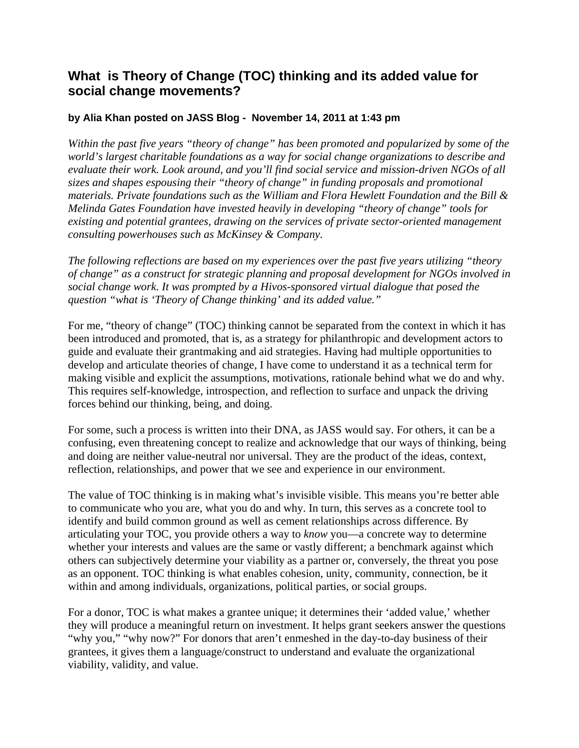## **What is Theory of Change (TOC) thinking and its added value for social change movements?**

## **by Alia Khan posted on JASS Blog - November 14, 2011 at 1:43 pm**

*Within the past five years "theory of change" has been promoted and popularized by some of the world's largest charitable foundations as a way for social change organizations to describe and evaluate their work. Look around, and you'll find social service and mission-driven NGOs of all sizes and shapes espousing their "theory of change" in funding proposals and promotional materials. Private foundations such as the William and Flora Hewlett Foundation and the Bill & Melinda Gates Foundation have invested heavily in developing "theory of change" tools for existing and potential grantees, drawing on the services of private sector-oriented management consulting powerhouses such as McKinsey & Company.*

*The following reflections are based on my experiences over the past five years utilizing "theory of change" as a construct for strategic planning and proposal development for NGOs involved in social change work. It was prompted by a Hivos-sponsored virtual dialogue that posed the question "what is 'Theory of Change thinking' and its added value."*

For me, "theory of change" (TOC) thinking cannot be separated from the context in which it has been introduced and promoted, that is, as a strategy for philanthropic and development actors to guide and evaluate their grantmaking and aid strategies. Having had multiple opportunities to develop and articulate theories of change, I have come to understand it as a technical term for making visible and explicit the assumptions, motivations, rationale behind what we do and why. This requires self-knowledge, introspection, and reflection to surface and unpack the driving forces behind our thinking, being, and doing.

For some, such a process is written into their DNA, as JASS would say. For others, it can be a confusing, even threatening concept to realize and acknowledge that our ways of thinking, being and doing are neither value-neutral nor universal. They are the product of the ideas, context, reflection, relationships, and power that we see and experience in our environment.

The value of TOC thinking is in making what's invisible visible. This means you're better able to communicate who you are, what you do and why. In turn, this serves as a concrete tool to identify and build common ground as well as cement relationships across difference. By articulating your TOC, you provide others a way to *know* you—a concrete way to determine whether your interests and values are the same or vastly different; a benchmark against which others can subjectively determine your viability as a partner or, conversely, the threat you pose as an opponent. TOC thinking is what enables cohesion, unity, community, connection, be it within and among individuals, organizations, political parties, or social groups.

For a donor, TOC is what makes a grantee unique; it determines their 'added value,' whether they will produce a meaningful return on investment. It helps grant seekers answer the questions "why you," "why now?" For donors that aren't enmeshed in the day-to-day business of their grantees, it gives them a language/construct to understand and evaluate the organizational viability, validity, and value.